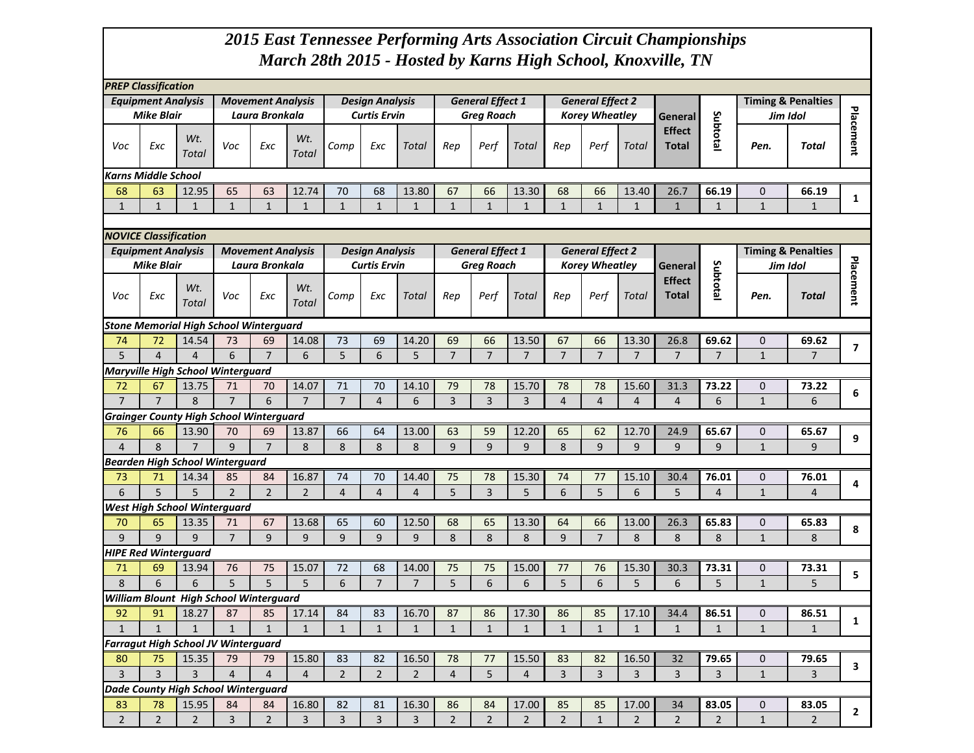## *2015 East Tennessee Performing Arts Association Circuit Championships March 28th 2015 - Hosted by Karns High School, Knoxville, TN*

| <b>PREP Classification</b><br><b>Equipment Analysis</b><br><b>Movement Analysis</b><br><b>Design Analysis</b> |                                                |                |                          |                          |                |                |                        |                |                |                         |                |                |                         |                |                        |              |              |                               |                  |
|---------------------------------------------------------------------------------------------------------------|------------------------------------------------|----------------|--------------------------|--------------------------|----------------|----------------|------------------------|----------------|----------------|-------------------------|----------------|----------------|-------------------------|----------------|------------------------|--------------|--------------|-------------------------------|------------------|
|                                                                                                               |                                                |                |                          |                          |                |                |                        |                |                | <b>General Effect 1</b> |                |                | <b>General Effect 2</b> |                |                        |              |              | <b>Timing &amp; Penalties</b> |                  |
|                                                                                                               | <b>Mike Blair</b>                              |                |                          | Laura Bronkala           |                |                | <b>Curtis Ervin</b>    |                |                | <b>Greg Roach</b>       |                |                | <b>Korey Wheatley</b>   |                | General                |              | Jim Idol     |                               |                  |
| Voc                                                                                                           | Exc                                            | Wt.<br>Total   | Voc                      | Exc                      | Wt.<br>Total   | Comp           | Exc                    | Total          | Rep            | Perf                    | Total          | Rep            | Perf                    | Total          | <b>Effect</b><br>Total | Subtotal     | Pen.         | Total                         | <b>Placement</b> |
|                                                                                                               | <b>Karns Middle School</b>                     |                |                          |                          |                |                |                        |                |                |                         |                |                |                         |                |                        |              |              |                               |                  |
| 68                                                                                                            | 63                                             | 12.95          | 65                       | 63                       | 12.74          | 70             | 68                     | 13.80          | 67             | 66                      | 13.30          | 68             | 66                      | 13.40          | 26.7                   | 66.19        | $\mathbf 0$  | 66.19                         |                  |
| $\mathbf{1}$                                                                                                  | $\mathbf{1}$                                   | $\mathbf{1}$   | $\mathbf{1}$             | $\mathbf{1}$             | $\mathbf{1}$   | $\mathbf{1}$   | $\mathbf{1}$           | $\mathbf{1}$   | $\mathbf{1}$   | $\mathbf{1}$            | $\mathbf{1}$   | $\mathbf{1}$   | $\mathbf{1}$            | $\mathbf{1}$   | $\mathbf{1}$           | $\mathbf{1}$ | $\mathbf{1}$ | $\mathbf{1}$                  | 1                |
|                                                                                                               |                                                |                |                          |                          |                |                |                        |                |                |                         |                |                |                         |                |                        |              |              |                               |                  |
|                                                                                                               | <b>NOVICE Classification</b>                   |                |                          |                          |                |                |                        |                |                |                         |                |                |                         |                |                        |              |              |                               |                  |
|                                                                                                               | <b>Equipment Analysis</b>                      |                |                          | <b>Movement Analysis</b> |                |                | <b>Design Analysis</b> |                |                | <b>General Effect 1</b> |                |                | <b>General Effect 2</b> |                |                        |              |              | <b>Timing &amp; Penalties</b> |                  |
|                                                                                                               | <b>Mike Blair</b>                              |                |                          | Laura Bronkala           |                |                | <b>Curtis Ervin</b>    |                |                | <b>Greg Roach</b>       |                |                | <b>Korey Wheatley</b>   |                | General                |              | Jim Idol     |                               |                  |
|                                                                                                               |                                                |                |                          |                          |                |                |                        |                |                |                         |                |                |                         | <b>Effect</b>  | Subtotal               |              |              |                               |                  |
| Voc                                                                                                           | Exc                                            | Wt.<br>Total   | Voc                      | Exc                      | Wt.<br>Total   | Comp           | Exc                    | Total          | Rep            | Perf                    | Total          | Rep            | Perf                    | Total          | <b>Total</b>           |              | Pen.         | Total                         | Placement        |
|                                                                                                               | <b>Stone Memorial High School Winterguard</b>  |                |                          |                          |                |                |                        |                |                |                         |                |                |                         |                |                        |              |              |                               |                  |
| 74                                                                                                            | 72                                             | 14.54          | 73                       | 69                       | 14.08          | 73             | 69                     | 14.20          | 69             | 66                      | 13.50          | 67             | 66                      | 13.30          | 26.8                   | 69.62        | $\mathbf 0$  | 69.62                         |                  |
| 5                                                                                                             | 4                                              | $\overline{4}$ | 6                        | $\overline{7}$           | 6              | 5              | 6                      | 5              | $\overline{7}$ | $\overline{7}$          | $\overline{7}$ | $\overline{7}$ | $\overline{7}$          | $\overline{7}$ | $\overline{7}$         | 7            | $\mathbf{1}$ | $\overline{7}$                | $\overline{ }$   |
|                                                                                                               | <b>Maryville High School Winterguard</b>       |                |                          |                          |                |                |                        |                |                |                         |                |                |                         |                |                        |              |              |                               |                  |
| 72                                                                                                            | 67                                             | 13.75          | 71                       | 70                       | 14.07          | 71             | 70                     | 14.10          | 79             | 78                      | 15.70          | 78             | 78                      | 15.60          | 31.3                   | 73.22        | $\mathbf 0$  | 73.22                         |                  |
| $\overline{7}$                                                                                                | $\overline{7}$                                 | 8              | $\overline{7}$           | 6                        | $\overline{7}$ | $\overline{7}$ | $\overline{4}$         | 6              | 3              | $\overline{3}$          | 3              | $\overline{4}$ | $\overline{4}$          | $\overline{4}$ | $\overline{4}$         | 6            | $\mathbf{1}$ | 6                             | 6                |
|                                                                                                               | <b>Grainger County High School Winterguard</b> |                |                          |                          |                |                |                        |                |                |                         |                |                |                         |                |                        |              |              |                               |                  |
| 76                                                                                                            | 66                                             | 13.90          | 70                       | 69                       | 13.87          | 66             | 64                     | 13.00          | 63             | 59                      | 12.20          | 65             | 62                      | 12.70          | 24.9                   | 65.67        | $\mathbf 0$  | 65.67                         |                  |
| $\overline{4}$                                                                                                | 8                                              | $\overline{7}$ | $\mathbf{q}$             | $\overline{7}$           | 8              | 8              | 8                      | 8              | 9              | 9                       | 9              | 8              | 9                       | 9              | 9                      | 9            | $\mathbf{1}$ | 9                             | 9                |
|                                                                                                               | <b>Bearden High School Winterguard</b>         |                |                          |                          |                |                |                        |                |                |                         |                |                |                         |                |                        |              |              |                               |                  |
| 73                                                                                                            | 71                                             | 14.34          | 85                       | 84                       | 16.87          | 74             | 70                     | 14.40          | 75             | 78                      | 15.30          | 74             | 77                      | 15.10          | 30.4                   | 76.01        | $\mathbf 0$  | 76.01                         |                  |
| 6                                                                                                             | 5                                              | 5              | $\overline{\phantom{0}}$ | $\overline{2}$           | $\overline{2}$ | 4              | $\overline{4}$         | $\overline{a}$ | 5              | 3                       | 5              | 6              | 5                       | 6              | 5                      | 4            | $\mathbf{1}$ | 4                             | 4                |
|                                                                                                               | <b>West High School Winterguard</b>            |                |                          |                          |                |                |                        |                |                |                         |                |                |                         |                |                        |              |              |                               |                  |
| 70                                                                                                            | 65                                             | 13.35          | 71                       | 67                       | 13.68          | 65             | 60                     | 12.50          | 68             | 65                      | 13.30          | 64             | 66                      | 13.00          | 26.3                   | 65.83        | $\mathbf 0$  | 65.83                         |                  |
| 9                                                                                                             | $\mathbf{q}$                                   | $\mathsf{q}$   | $\overline{7}$           | $\mathsf{q}$             | $\mathbf{q}$   | 9              | $\mathbf{q}$           | 9              | 8              | 8                       | 8              | 9              | $\overline{7}$          | 8              | 8                      | 8            | $\mathbf{1}$ | 8                             | 8                |
|                                                                                                               | <b>HIPE Red Winterguard</b>                    |                |                          |                          |                |                |                        |                |                |                         |                |                |                         |                |                        |              |              |                               |                  |
| 71                                                                                                            | 69                                             | 13.94          | 76                       | 75                       | 15.07          | 72             | 68                     | 14.00          | 75             | 75                      | 15.00          | 77             | 76                      | 15.30          | 30.3                   | 73.31        | $\mathbf 0$  | 73.31                         |                  |
| 8                                                                                                             | 6                                              | 6              | 5                        | 5                        | 5              | 6              | $\overline{7}$         | $\overline{7}$ | 5              | 6                       | 6              | 5              | 6                       | 5              | 6                      | 5            | $\mathbf{1}$ | 5                             | 5                |
|                                                                                                               | William Blount High School Winterguard         |                |                          |                          |                |                |                        |                |                |                         |                |                |                         |                |                        |              |              |                               |                  |
| 92                                                                                                            | 91                                             | 18.27          | 87                       | 85                       | 17.14          | 84             | 83                     | 16.70          | 87             | 86                      | 17.30          | 86             | 85                      | 17.10          | 34.4                   | 86.51        | $\mathbf{0}$ | 86.51                         |                  |
| $\mathbf{1}$                                                                                                  | $\mathbf{1}$                                   | $\mathbf{1}$   | $\mathbf{1}$             | $\mathbf{1}$             | $\mathbf{1}$   | 1              | 1                      | $\mathbf{1}$   | $\mathbf{1}$   | $\mathbf{1}$            | 1              | 1              | 1                       | $\mathbf{1}$   | $\mathbf{1}$           | $\mathbf{1}$ | $\mathbf{1}$ | 1                             | 1                |
|                                                                                                               | <b>Farragut High School JV Winterguard</b>     |                |                          |                          |                |                |                        |                |                |                         |                |                |                         |                |                        |              |              |                               |                  |
| 80                                                                                                            | 75                                             | 15.35          | 79                       | 79                       | 15.80          | 83             | 82                     | 16.50          | 78             | 77                      | 15.50          | 83             | 82                      | 16.50          | 32                     | 79.65        | 0            | 79.65                         |                  |
| $\overline{3}$                                                                                                | 3                                              | 3              | $\overline{4}$           | $\overline{4}$           | $\overline{4}$ | $\overline{2}$ | $\overline{2}$         | $\overline{2}$ | $\overline{4}$ | 5                       | $\overline{4}$ | $\overline{3}$ | 3                       | 3              | $\overline{3}$         | 3            | $\mathbf{1}$ | $\overline{3}$                | 3                |
|                                                                                                               | <b>Dade County High School Winterguard</b>     |                |                          |                          |                |                |                        |                |                |                         |                |                |                         |                |                        |              |              |                               |                  |
| 83                                                                                                            | 78                                             | 15.95          | 84                       | 84                       | 16.80          | 82             | 81                     | 16.30          | 86             | 84                      | 17.00          | 85             | 85                      | 17.00          | 34                     | 83.05        | $\mathbf 0$  | 83.05                         |                  |
| $2^{\circ}$                                                                                                   | $\overline{2}$                                 | $\overline{2}$ | $\overline{3}$           | $2^{\circ}$              | $\overline{3}$ | $\overline{3}$ | 3                      | 3              | $\overline{2}$ | $\overline{2}$          | $\overline{2}$ | $2^{\circ}$    | $\mathbf{1}$            | $\overline{2}$ | $2^{\circ}$            | $2^{\circ}$  | $\mathbf{1}$ | $\overline{2}$                | $\mathbf{2}$     |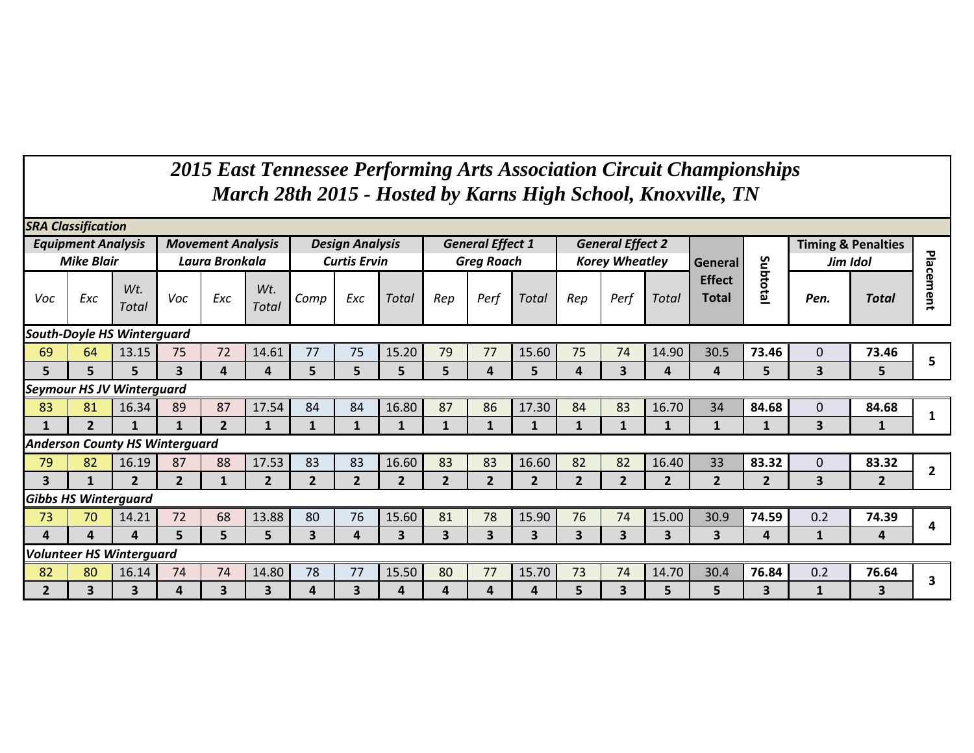## *2015 East Tennessee Performing Arts Association Circuit Championships March 28th 2015 - Hosted by Karns High School, Knoxville, TN*

|                                   | <b>SRA Classification</b><br><b>General Effect 1</b><br><b>General Effect 2</b><br><b>Timing &amp; Penalties</b><br><b>Movement Analysis</b><br><b>Design Analysis</b><br><b>Equipment Analysis</b> |                                       |                         |                |                         |                         |                     |                |                         |                         |                         |                         |                       |                         |                               |                |                         |                |                |
|-----------------------------------|-----------------------------------------------------------------------------------------------------------------------------------------------------------------------------------------------------|---------------------------------------|-------------------------|----------------|-------------------------|-------------------------|---------------------|----------------|-------------------------|-------------------------|-------------------------|-------------------------|-----------------------|-------------------------|-------------------------------|----------------|-------------------------|----------------|----------------|
|                                   | <b>Mike Blair</b>                                                                                                                                                                                   |                                       |                         | Laura Bronkala |                         |                         | <b>Curtis Ervin</b> |                |                         | <b>Greg Roach</b>       |                         |                         | <b>Korey Wheatley</b> |                         | General                       |                | Jim Idol                |                | Plac           |
| Voc                               | Exc                                                                                                                                                                                                 | Wt.<br><b>Total</b>                   | Voc                     | Exc            | Wt.<br><b>Total</b>     | Comp                    | Exc                 | Total          | Rep                     | Perf                    | <b>Total</b>            | Rep                     | Perf                  | Total                   | <b>Effect</b><br><b>Total</b> | Subtotal       | Pen.                    | <b>Total</b>   | ര<br>ment      |
| <b>South-Doyle HS Winterguard</b> |                                                                                                                                                                                                     |                                       |                         |                |                         |                         |                     |                |                         |                         |                         |                         |                       |                         |                               |                |                         |                |                |
| 69                                | 64                                                                                                                                                                                                  | 13.15                                 | 75                      | 72             | 14.61                   | 77                      | 75                  | 15.20          | 79                      | 77                      | 15.60                   | 75                      | 74                    | 14.90                   | 30.5                          | 73.46          | $\Omega$                | 73.46          | 5              |
| 5                                 | 5                                                                                                                                                                                                   | 5                                     | $\overline{\mathbf{3}}$ | 4              | 4                       | 5                       | 5                   | 5              | 5                       | 4                       | 5                       | 4                       | 3                     | 4                       | 4                             | 5              | 3                       | 5              |                |
| <b>Seymour HS JV Winterguard</b>  |                                                                                                                                                                                                     |                                       |                         |                |                         |                         |                     |                |                         |                         |                         |                         |                       |                         |                               |                |                         |                |                |
| 83                                | 81                                                                                                                                                                                                  | 16.34                                 | 89                      | 87             | 17.54                   | 84                      | 84                  | 16.80          | 87                      | 86                      | 17.30                   | 84                      | 83                    | 16.70                   | 34                            | 84.68          | $\overline{0}$          | 84.68          |                |
| 1                                 | $\overline{\phantom{a}}$                                                                                                                                                                            | $\mathbf{1}$                          | $\mathbf{1}$            | $\overline{2}$ | $\mathbf{1}$            | $\mathbf{1}$            | 1                   | $\mathbf{1}$   | 1                       | 1                       | 1                       | $\mathbf{1}$            | $\mathbf{1}$          | $\mathbf{1}$            | $\mathbf{1}$                  | 1              | 3                       |                |                |
|                                   |                                                                                                                                                                                                     | <b>Anderson County HS Winterguard</b> |                         |                |                         |                         |                     |                |                         |                         |                         |                         |                       |                         |                               |                |                         |                |                |
| 79                                | 82                                                                                                                                                                                                  | 16.19                                 | 87                      | 88             | 17.53                   | 83                      | 83                  | 16.60          | 83                      | 83                      | 16.60                   | 82                      | 82                    | 16.40                   | 33                            | 83.32          | $\overline{0}$          | 83.32          | $\overline{2}$ |
| $\overline{\mathbf{3}}$           | $\mathbf{1}$                                                                                                                                                                                        | $\overline{2}$                        | $\overline{2}$          | $\mathbf{1}$   | $\overline{2}$          | $\overline{2}$          | $\overline{2}$      | $\overline{2}$ | $\overline{2}$          | $\overline{2}$          | $\overline{2}$          | $\overline{2}$          | $\overline{2}$        | $\overline{2}$          | $\overline{2}$                | $\overline{2}$ | $\overline{\mathbf{3}}$ | $\overline{2}$ |                |
| <b>Gibbs HS Winterguard</b>       |                                                                                                                                                                                                     |                                       |                         |                |                         |                         |                     |                |                         |                         |                         |                         |                       |                         |                               |                |                         |                |                |
| 73                                | 70                                                                                                                                                                                                  | 14.21                                 | 72                      | 68             | 13.88                   | 80                      | 76                  | 15.60          | 81                      | 78                      | 15.90                   | 76                      | 74                    | 15.00                   | 30.9                          | 74.59          | 0.2                     | 74.39          | 4              |
| 4                                 | 4                                                                                                                                                                                                   | 4                                     | 5                       | 5              | 5                       | $\overline{\mathbf{3}}$ | 4                   | 3              | $\overline{\mathbf{3}}$ | $\overline{\mathbf{3}}$ | $\overline{\mathbf{3}}$ | $\overline{\mathbf{3}}$ | 3                     | $\overline{\mathbf{3}}$ | 3                             | 4              | 1                       | 4              |                |
|                                   |                                                                                                                                                                                                     | <b>Volunteer HS Winterquard</b>       |                         |                |                         |                         |                     |                |                         |                         |                         |                         |                       |                         |                               |                |                         |                |                |
| 82                                | 80                                                                                                                                                                                                  | 16.14                                 | 74                      | 74             | 14.80                   | 78                      | 77                  | 15.50          | 80                      | 77                      | 15.70                   | 73                      | 74                    | 14.70                   | 30.4                          | 76.84          | 0.2                     | 76.64          | 3              |
| $\overline{2}$                    | 3                                                                                                                                                                                                   | 3                                     | 4                       | 3              | $\overline{\mathbf{3}}$ | 4                       | 3                   | 4              | 4                       | 4                       | 4                       | 5                       | 3                     | 5                       | 5                             | 3              | 1                       | 3              |                |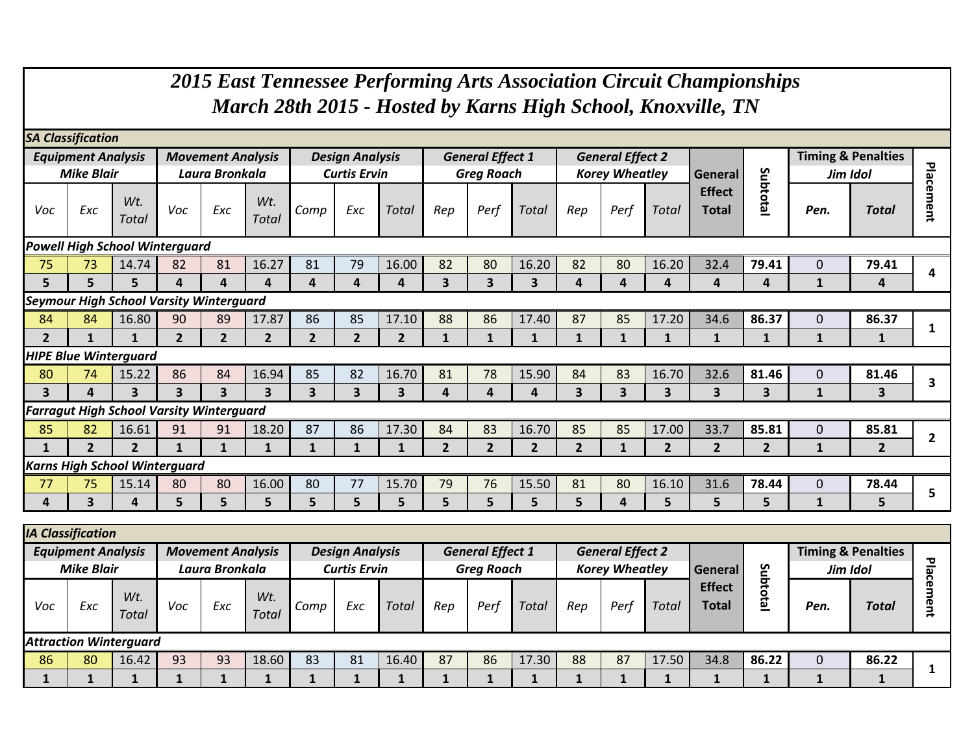|                                                                                                                                                                                                                |                                                                                                                                                                                                                                                                                                |                                                 |                         |                |                |                         |                |                         |                |                |                |                |                         |                         | 2015 East Tennessee Performing Arts Association Circuit Championships<br>March 28th 2015 - Hosted by Karns High School, Knoxville, TN |                         |              |                |                |
|----------------------------------------------------------------------------------------------------------------------------------------------------------------------------------------------------------------|------------------------------------------------------------------------------------------------------------------------------------------------------------------------------------------------------------------------------------------------------------------------------------------------|-------------------------------------------------|-------------------------|----------------|----------------|-------------------------|----------------|-------------------------|----------------|----------------|----------------|----------------|-------------------------|-------------------------|---------------------------------------------------------------------------------------------------------------------------------------|-------------------------|--------------|----------------|----------------|
|                                                                                                                                                                                                                | <b>SA Classification</b>                                                                                                                                                                                                                                                                       |                                                 |                         |                |                |                         |                |                         |                |                |                |                |                         |                         |                                                                                                                                       |                         |              |                |                |
|                                                                                                                                                                                                                | <b>General Effect 1</b><br><b>General Effect 2</b><br><b>Timing &amp; Penalties</b><br><b>Equipment Analysis</b><br><b>Movement Analysis</b><br><b>Design Analysis</b><br><b>Mike Blair</b><br><b>Greg Roach</b><br><b>Korey Wheatley</b><br>Laura Bronkala<br><b>Curtis Ervin</b><br>Jim Idol |                                                 |                         |                |                |                         |                |                         |                |                |                |                |                         |                         |                                                                                                                                       |                         |              |                |                |
|                                                                                                                                                                                                                |                                                                                                                                                                                                                                                                                                |                                                 |                         |                |                |                         |                |                         |                |                |                |                |                         |                         | General                                                                                                                               |                         |              |                | Plac           |
| Subtotal<br>ement<br><b>Effect</b><br>Wt.<br>Wt.<br>Exc<br>Voc<br>Exc<br>Exc<br>Rep<br>Perf<br><b>Total</b><br>Rep<br>Perf<br>Total<br>Pen.<br><b>Total</b><br>Voc<br>Comp<br>Total<br>Total<br>Total<br>Total |                                                                                                                                                                                                                                                                                                |                                                 |                         |                |                |                         |                |                         |                |                |                |                |                         |                         |                                                                                                                                       |                         |              |                |                |
|                                                                                                                                                                                                                | <b>Powell High School Winterguard</b>                                                                                                                                                                                                                                                          |                                                 |                         |                |                |                         |                |                         |                |                |                |                |                         |                         |                                                                                                                                       |                         |              |                |                |
| 75                                                                                                                                                                                                             | 16.27<br>81<br>82<br>80<br>82<br>80<br>16.20<br>32.4<br>79.41<br>73<br>14.74<br>82<br>81<br>79<br>16.00<br>16.20<br>$\mathbf{0}$<br>79.41<br>Δ                                                                                                                                                 |                                                 |                         |                |                |                         |                |                         |                |                |                |                |                         |                         |                                                                                                                                       |                         |              |                |                |
| 5                                                                                                                                                                                                              | 3<br>5<br>5<br>$\overline{\mathbf{3}}$<br>4<br>4<br>3<br>4<br>4<br>$\mathbf{1}$<br>4<br>4<br>4<br>$\overline{a}$<br>4<br>4<br>4<br>4                                                                                                                                                           |                                                 |                         |                |                |                         |                |                         |                |                |                |                |                         |                         |                                                                                                                                       |                         |              |                |                |
|                                                                                                                                                                                                                | <b>Seymour High School Varsity Winterguard</b>                                                                                                                                                                                                                                                 |                                                 |                         |                |                |                         |                |                         |                |                |                |                |                         |                         |                                                                                                                                       |                         |              |                |                |
| 84                                                                                                                                                                                                             | 84                                                                                                                                                                                                                                                                                             | 16.80                                           | 90                      | 89             | 17.87          | 86                      | 85             | 17.10                   | 88             | 86             | 17.40          | 87             | 85                      | 17.20                   | 34.6                                                                                                                                  | 86.37                   | $\mathbf{0}$ | 86.37          |                |
| $\overline{2}$                                                                                                                                                                                                 | 1                                                                                                                                                                                                                                                                                              | $\mathbf{1}$                                    | $\overline{2}$          | $\overline{2}$ | $\overline{2}$ | $\overline{2}$          | $\overline{2}$ | $\mathbf{2}$            | $\mathbf{1}$   | $\mathbf{1}$   | 1              | $\mathbf{1}$   | $\mathbf{1}$            | $\mathbf{1}$            | $\mathbf{1}$                                                                                                                          | $\mathbf{1}$            | $\mathbf{1}$ | 1              |                |
|                                                                                                                                                                                                                |                                                                                                                                                                                                                                                                                                | <b>HIPE Blue Winterguard</b>                    |                         |                |                |                         |                |                         |                |                |                |                |                         |                         |                                                                                                                                       |                         |              |                |                |
| 80                                                                                                                                                                                                             | 74                                                                                                                                                                                                                                                                                             | 15.22                                           | 86                      | 84             | 16.94          | 85                      | 82             | 16.70                   | 81             | 78             | 15.90          | 84             | 83                      | 16.70                   | 32.6                                                                                                                                  | 81.46                   | $\mathbf{0}$ | 81.46          |                |
| 3                                                                                                                                                                                                              | 4                                                                                                                                                                                                                                                                                              | $\overline{\mathbf{3}}$                         | $\overline{\mathbf{3}}$ | 3              | $\overline{3}$ | $\overline{\mathbf{3}}$ | 3              | $\overline{\mathbf{3}}$ | 4              | $\Delta$       | 4              | 3 <sup>1</sup> | $\overline{\mathbf{3}}$ | $\overline{\mathbf{3}}$ | $\overline{\mathbf{3}}$                                                                                                               | $\overline{\mathbf{3}}$ | $\mathbf{1}$ | 3              | 3              |
|                                                                                                                                                                                                                |                                                                                                                                                                                                                                                                                                | <b>Farragut High School Varsity Winterguard</b> |                         |                |                |                         |                |                         |                |                |                |                |                         |                         |                                                                                                                                       |                         |              |                |                |
| 85                                                                                                                                                                                                             | 82                                                                                                                                                                                                                                                                                             | 16.61                                           | 91                      | 91             | 18.20          | 87                      | 86             | 17.30                   | 84             | 83             | 16.70          | 85             | 85                      | 17.00                   | 33.7                                                                                                                                  | 85.81                   | $\mathbf{0}$ | 85.81          |                |
| 1                                                                                                                                                                                                              | $\overline{2}$                                                                                                                                                                                                                                                                                 | $\overline{2}$                                  | 1                       | $\mathbf{1}$   | $\mathbf{1}$   | $\mathbf{1}$            | $\mathbf{1}$   | 1                       | $\overline{2}$ | $\overline{2}$ | $\overline{2}$ | 2 <sup>1</sup> | $\mathbf{1}$            | $\overline{2}$          | $\overline{2}$                                                                                                                        | $\overline{2}$          | $\mathbf{1}$ | $\overline{2}$ | $\overline{2}$ |
|                                                                                                                                                                                                                |                                                                                                                                                                                                                                                                                                | <b>Karns High School Winterquard</b>            |                         |                |                |                         |                |                         |                |                |                |                |                         |                         |                                                                                                                                       |                         |              |                |                |
| 77                                                                                                                                                                                                             | 75                                                                                                                                                                                                                                                                                             | 15.14                                           | 80                      | 80             | 16.00          | 80                      | 77             | 15.70                   | 79             | 76             | 15.50          | 81             | 80                      | 16.10                   | 31.6                                                                                                                                  | 78.44                   | $\mathbf{0}$ | 78.44          |                |
| 4                                                                                                                                                                                                              | $\overline{\mathbf{3}}$                                                                                                                                                                                                                                                                        | 4                                               | 5                       | 5              | 5              | 5                       | 5              | 5                       | 5              | 5              | 5              | 5              | 4                       | 5.                      | 5                                                                                                                                     | 5                       | $\mathbf{1}$ | 5              | 5              |
| $\mathbf{A}$ $\mathbf{C}$ $\mathbf{A}$ $\mathbf{C}$ $\mathbf{A}$                                                                                                                                               |                                                                                                                                                                                                                                                                                                |                                                 |                         |                |                |                         |                |                         |                |                |                |                |                         |                         |                                                                                                                                       |                         |              |                |                |

|                                     | <b>IA Classification</b>  |                               |     |                          |                     |      |                        |              |     |                         |       |     |                         |       |                               |                       |             |                               |  |
|-------------------------------------|---------------------------|-------------------------------|-----|--------------------------|---------------------|------|------------------------|--------------|-----|-------------------------|-------|-----|-------------------------|-------|-------------------------------|-----------------------|-------------|-------------------------------|--|
|                                     | <b>Equipment Analysis</b> |                               |     | <b>Movement Analysis</b> |                     |      | <b>Design Analysis</b> |              |     | <b>General Effect 1</b> |       |     | <b>General Effect 2</b> |       |                               |                       |             | <b>Timing &amp; Penalties</b> |  |
| <b>Mike Blair</b><br>Laura Bronkala |                           |                               |     | <b>Curtis Ervin</b>      |                     |      | <b>Greg Roach</b>      |              |     | <b>Korey Wheatley</b>   |       |     | General                 | čη    | Jim Idol                      |                       |             |                               |  |
| Voc                                 | Exc                       | Wt.<br><b>Total</b>           | Voc | Exc                      | Wt.<br><b>Total</b> | Comp | Exc                    | <b>Total</b> | Rep | Peri                    | Total | Rep | Per                     | Total | <b>Effect</b><br><b>Total</b> | ರ<br>←<br>٥<br>ឆ<br>– | Pen.        | <b>Total</b>                  |  |
|                                     |                           | <b>Attraction Winterguard</b> |     |                          |                     |      |                        |              |     |                         |       |     |                         |       |                               |                       |             |                               |  |
| 86                                  | 80                        | 16.42                         | 93  | 93                       | 18.60               | 83   | 81                     | 16.40        | 87  | 86                      | 17.30 | 88  | 87                      | 17.50 | 34.8                          | 86.22                 | $\mathbf 0$ | 86.22                         |  |
|                                     |                           |                               |     |                          |                     |      |                        |              |     |                         |       |     |                         |       |                               |                       |             |                               |  |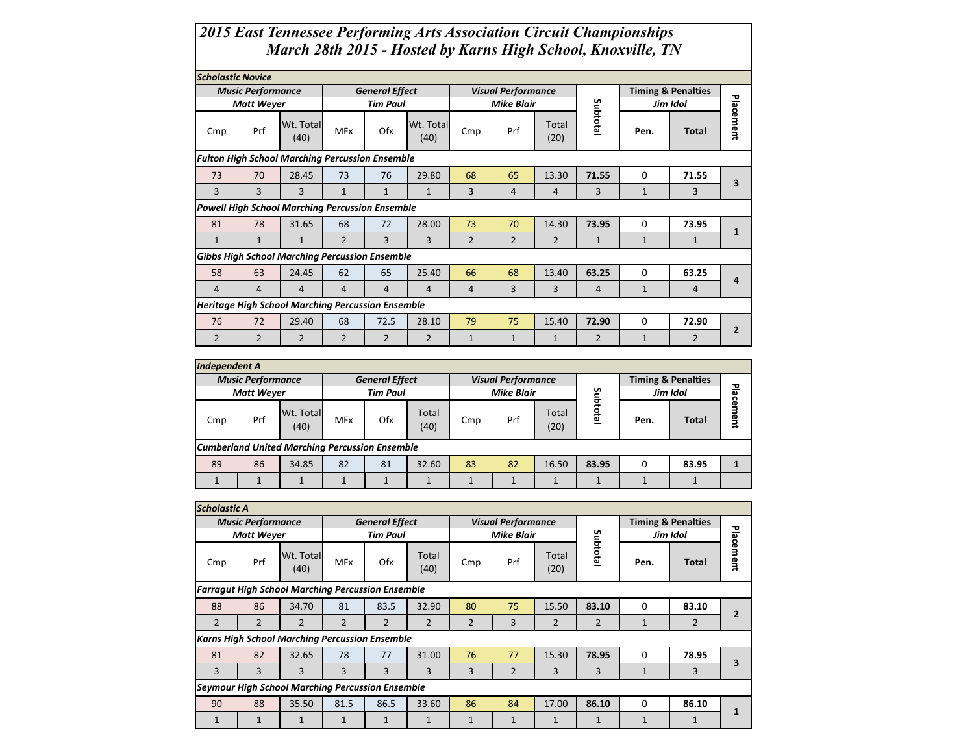## *2015 East Tennessee Performing Arts Association Circuit Championships March 28th 2015 - Hosted by Karns High School, Knoxville, TN*

|                | <b>Scholastic Novice</b><br><b>Timing &amp; Penalties</b><br><b>Music Performance</b><br><b>General Effect</b><br><b>Visual Performance</b> |                                                          |                |                 |                   |                |                   |                |                |              |                |                |  |  |  |
|----------------|---------------------------------------------------------------------------------------------------------------------------------------------|----------------------------------------------------------|----------------|-----------------|-------------------|----------------|-------------------|----------------|----------------|--------------|----------------|----------------|--|--|--|
|                |                                                                                                                                             |                                                          |                |                 |                   |                |                   |                |                |              |                |                |  |  |  |
|                | <b>Matt Weyer</b>                                                                                                                           |                                                          |                | <b>Tim Paul</b> |                   |                | <b>Mike Blair</b> |                |                |              | Jim Idol       |                |  |  |  |
| Cmp            | Prf                                                                                                                                         | Wt. Total<br>(40)                                        | <b>MFx</b>     | Ofx             | Wt. Total<br>(40) | Cmp            | Prf               | Total<br>(20)  | Subtotal       | Pen.         | <b>Total</b>   | Placement      |  |  |  |
|                |                                                                                                                                             | <b>Fulton High School Marching Percussion Ensemble</b>   |                |                 |                   |                |                   |                |                |              |                |                |  |  |  |
| 73             | 70                                                                                                                                          | 28.45                                                    | 73             | 76              | 29.80             | 68             | 65                | 13.30          | 71.55          | 0            | 71.55          |                |  |  |  |
| 3              | 3                                                                                                                                           | 3                                                        | $\mathbf{1}$   | $\mathbf{1}$    | $\mathbf{1}$      | 3              | 4                 | $\overline{4}$ | 3              | $\mathbf{1}$ | 3              | 3              |  |  |  |
|                |                                                                                                                                             | <b>Powell High School Marching Percussion Ensemble</b>   |                |                 |                   |                |                   |                |                |              |                |                |  |  |  |
| 81             | 78                                                                                                                                          | 31.65                                                    | 68             | 72              | 28.00             | 73             | 70                | 14.30          | 73.95          | 0            | 73.95          | $\mathbf{1}$   |  |  |  |
| $\mathbf{1}$   | $\mathbf{1}$                                                                                                                                | $\mathbf{1}$                                             | $\overline{2}$ | 3               | 3                 | $\overline{2}$ | $\overline{2}$    | $\overline{2}$ | $\mathbf{1}$   | $\mathbf{1}$ | $\mathbf{1}$   |                |  |  |  |
|                |                                                                                                                                             | <b>Gibbs High School Marching Percussion Ensemble</b>    |                |                 |                   |                |                   |                |                |              |                |                |  |  |  |
| 58             | 63                                                                                                                                          | 24.45                                                    | 62             | 65              | 25.40             | 66             | 68                | 13.40          | 63.25          | 0            | 63.25          | 4              |  |  |  |
| 4              | $\overline{4}$                                                                                                                              | 4                                                        | 4              | 4               | 4                 | 4              | 3                 | 3              | 4              | $\mathbf{1}$ | $\overline{4}$ |                |  |  |  |
|                |                                                                                                                                             | <b>Heritage High School Marching Percussion Ensemble</b> |                |                 |                   |                |                   |                |                |              |                |                |  |  |  |
| 76             | 72                                                                                                                                          | 29.40                                                    | 68             | 72.5            | 28.10             | 79             | 75                | 15.40          | 72.90          | 0            | 72.90          | $\overline{2}$ |  |  |  |
| $\overline{2}$ | $\overline{2}$                                                                                                                              | $\overline{2}$                                           | $\overline{2}$ | $\overline{2}$  | $\overline{2}$    | $\mathbf{1}$   | $\mathbf{1}$      | $\mathbf{1}$   | $\overline{2}$ | $\mathbf{1}$ | $\overline{2}$ |                |  |  |  |

| <b>Independent A</b> |                                                       |                   |            |                       |               |     |                           |               |          |          |                               |           |  |  |
|----------------------|-------------------------------------------------------|-------------------|------------|-----------------------|---------------|-----|---------------------------|---------------|----------|----------|-------------------------------|-----------|--|--|
|                      | <b>Music Performance</b>                              |                   |            | <b>General Effect</b> |               |     | <b>Visual Performance</b> |               |          |          | <b>Timing &amp; Penalties</b> |           |  |  |
|                      | <b>Matt Weyer</b>                                     |                   |            | <b>Tim Paul</b>       |               |     | <b>Mike Blair</b>         |               |          | Jim Idol |                               |           |  |  |
| Cmp                  | Prf                                                   | Wt. Total<br>(40) | <b>MFx</b> | Ofx                   | Total<br>(40) | Cmp | Prf                       | Total<br>(20) | Subtotal | Pen.     | <b>Total</b>                  | Placement |  |  |
|                      | <b>Cumberland United Marching Percussion Ensemble</b> |                   |            |                       |               |     |                           |               |          |          |                               |           |  |  |
| 89                   | 86                                                    | 34.85             | 82         | 81                    | 32.60         | 83  | 82                        | 16.50         | 83.95    | $\Omega$ | 83.95                         |           |  |  |
|                      |                                                       |                   |            |                       |               |     |                           |               |          |          |                               |           |  |  |

|                                                          | <b>Scholastic A</b><br><b>Visual Performance</b><br><b>Timing &amp; Penalties</b><br><b>General Effect</b><br><b>Music Performance</b> |                                                       |                |                 |                |                |                   |                |              |              |                |           |  |  |
|----------------------------------------------------------|----------------------------------------------------------------------------------------------------------------------------------------|-------------------------------------------------------|----------------|-----------------|----------------|----------------|-------------------|----------------|--------------|--------------|----------------|-----------|--|--|
|                                                          |                                                                                                                                        |                                                       |                |                 |                |                |                   |                |              |              |                |           |  |  |
|                                                          | <b>Matt Weyer</b>                                                                                                                      |                                                       |                | <b>Tim Paul</b> |                |                | <b>Mike Blair</b> |                |              |              | Jim Idol       |           |  |  |
| Cmp                                                      | Wt. Total<br>Prf<br>(40)                                                                                                               |                                                       | <b>MFx</b>     | Ofx             | Total<br>(40)  | Cmp            | Prf               | Total<br>(20)  | Subtotal     | Pen.         | Total          | Placement |  |  |
| <b>Farragut High School Marching Percussion Ensemble</b> |                                                                                                                                        |                                                       |                |                 |                |                |                   |                |              |              |                |           |  |  |
| 88                                                       | 86                                                                                                                                     | 34.70                                                 | 81             | 83.5            | 32.90          | 80             | 75                | 15.50          | 83.10        | $\Omega$     | 83.10          |           |  |  |
| 2                                                        | $\overline{2}$                                                                                                                         | 2                                                     | $\overline{2}$ | $\overline{2}$  | $\overline{2}$ | $\overline{2}$ | 3                 | $\overline{2}$ | 2            | $\mathbf{1}$ | $\overline{2}$ |           |  |  |
|                                                          |                                                                                                                                        | <b>Karns High School Marching Percussion Ensemble</b> |                |                 |                |                |                   |                |              |              |                |           |  |  |
| 81                                                       | 82                                                                                                                                     | 32.65                                                 | 78             | 77              | 31.00          | 76             | 77                | 15.30          | 78.95        | 0            | 78.95          | 3         |  |  |
| 3                                                        | 3                                                                                                                                      | 3                                                     | 3              | 3               | 3              | 3              | $\overline{2}$    | 3              | 3            | $\mathbf{1}$ | 3              |           |  |  |
|                                                          | <b>Seymour High School Marching Percussion Ensemble</b>                                                                                |                                                       |                |                 |                |                |                   |                |              |              |                |           |  |  |
| 90                                                       | 88                                                                                                                                     | 35.50                                                 | 81.5           | 86.5            | 33.60          | 86             | 84                | 17.00          | 86.10        | $\Omega$     | 86.10          |           |  |  |
| $\mathbf{1}$                                             | $\mathbf{1}$                                                                                                                           |                                                       | 1              |                 |                | $\mathbf{1}$   | $\mathbf{1}$      | $\mathbf{1}$   | $\mathbf{1}$ | $\mathbf{1}$ | $\mathbf{1}$   |           |  |  |